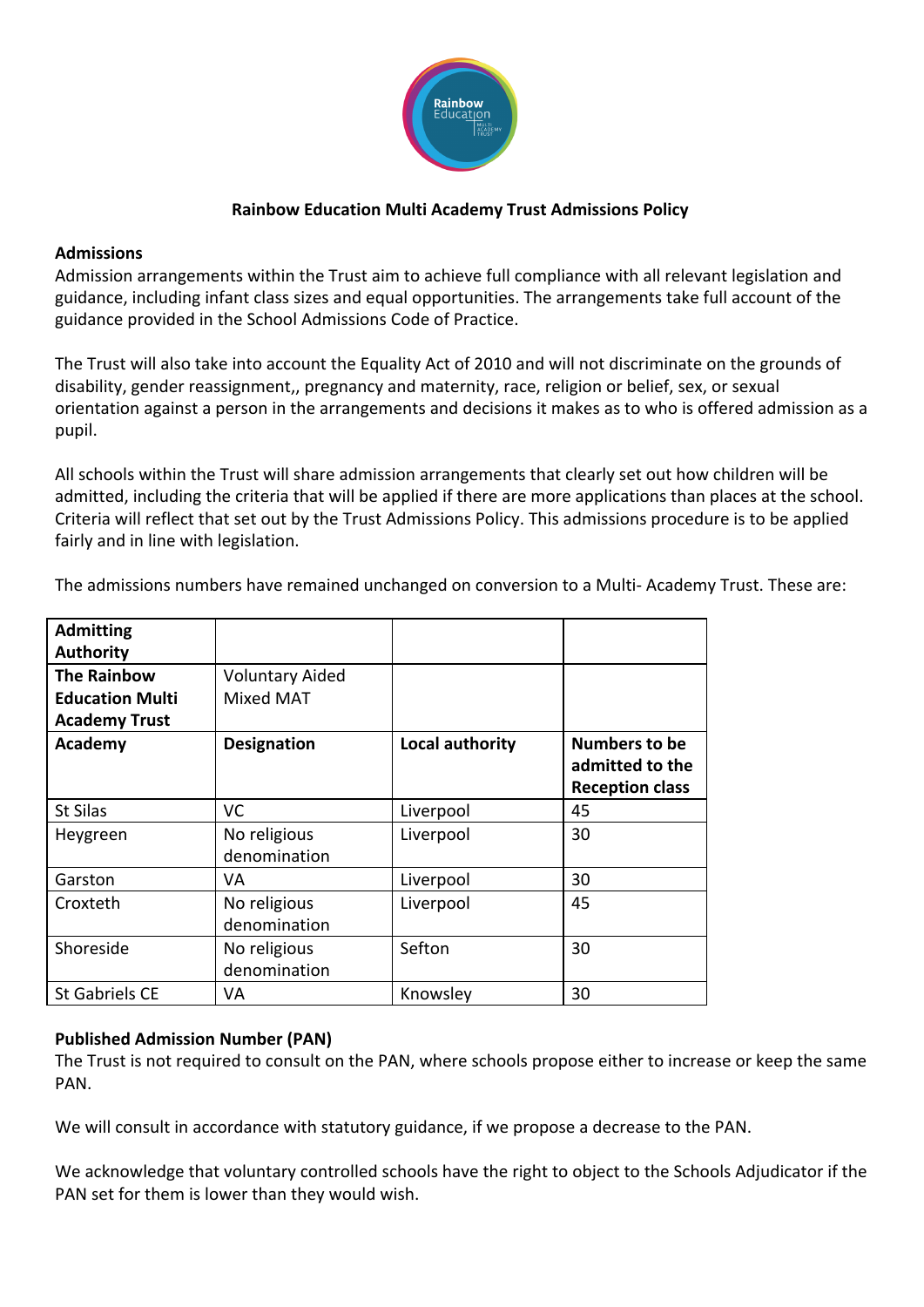

### **Rainbow Education Multi Academy Trust Admissions Policy**

#### **Admissions**

Admission arrangements within the Trust aim to achieve full compliance with all relevant legislation and guidance, including infant class sizes and equal opportunities. The arrangements take full account of the guidance provided in the School Admissions Code of Practice.

The Trust will also take into account the Equality Act of 2010 and will not discriminate on the grounds of disability, gender reassignment,, pregnancy and maternity, race, religion or belief, sex, or sexual orientation against a person in the arrangements and decisions it makes as to who is offered admission as a pupil.

All schools within the Trust will share admission arrangements that clearly set out how children will be admitted, including the criteria that will be applied if there are more applications than places at the school. Criteria will reflect that set out by the Trust Admissions Policy. This admissions procedure is to be applied fairly and in line with legislation.

| <b>Admitting</b>       |                              |                 |                                                            |
|------------------------|------------------------------|-----------------|------------------------------------------------------------|
| <b>Authority</b>       |                              |                 |                                                            |
| <b>The Rainbow</b>     | <b>Voluntary Aided</b>       |                 |                                                            |
| <b>Education Multi</b> | <b>Mixed MAT</b>             |                 |                                                            |
| <b>Academy Trust</b>   |                              |                 |                                                            |
| Academy                | <b>Designation</b>           | Local authority | Numbers to be<br>admitted to the<br><b>Reception class</b> |
| St Silas               | VC.                          | Liverpool       | 45                                                         |
| Heygreen               | No religious<br>denomination | Liverpool       | 30                                                         |
| Garston                | VA                           | Liverpool       | 30                                                         |
| Croxteth               | No religious<br>denomination | Liverpool       | 45                                                         |
| Shoreside              | No religious<br>denomination | Sefton          | 30                                                         |
| St Gabriels CE         | VA                           | Knowsley        | 30                                                         |

The admissions numbers have remained unchanged on conversion to a Multi- Academy Trust. These are:

### **Published Admission Number (PAN)**

The Trust is not required to consult on the PAN, where schools propose either to increase or keep the same PAN.

We will consult in accordance with statutory guidance, if we propose a decrease to the PAN.

We acknowledge that voluntary controlled schools have the right to object to the Schools Adjudicator if the PAN set for them is lower than they would wish.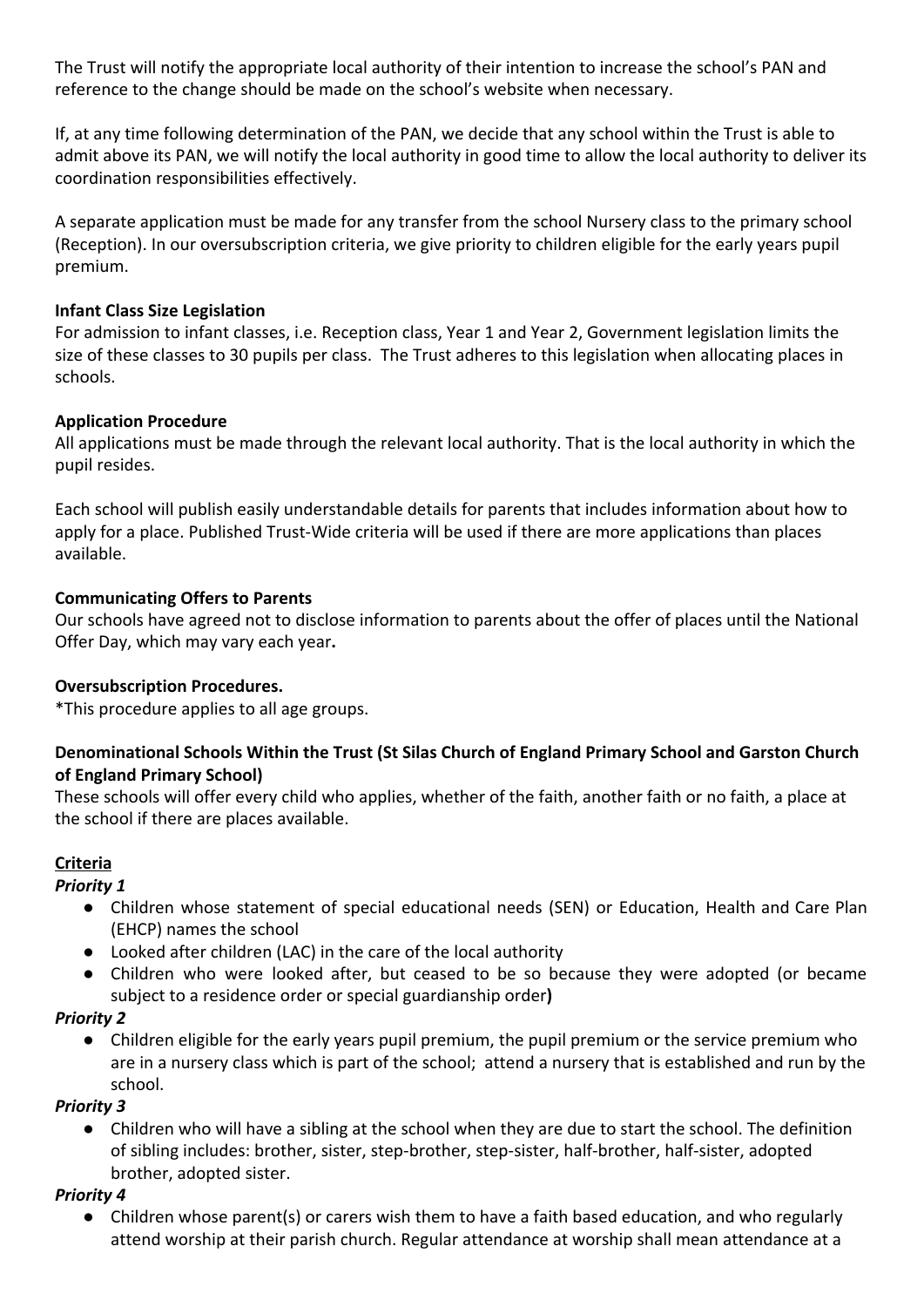The Trust will notify the appropriate local authority of their intention to increase the school's PAN and reference to the change should be made on the school's website when necessary.

If, at any time following determination of the PAN, we decide that any school within the Trust is able to admit above its PAN, we will notify the local authority in good time to allow the local authority to deliver its coordination responsibilities effectively.

A separate application must be made for any transfer from the school Nursery class to the primary school (Reception). In our oversubscription criteria, we give priority to children eligible for the early years pupil premium.

#### **Infant Class Size Legislation**

For admission to infant classes, i.e. Reception class, Year 1 and Year 2, Government legislation limits the size of these classes to 30 pupils per class. The Trust adheres to this legislation when allocating places in schools.

#### **Application Procedure**

All applications must be made through the relevant local authority. That is the local authority in which the pupil resides.

Each school will publish easily understandable details for parents that includes information about how to apply for a place. Published Trust-Wide criteria will be used if there are more applications than places available.

#### **Communicating Offers to Parents**

Our schools have agreed not to disclose information to parents about the offer of places until the National Offer Day, which may vary each year**.**

#### **Oversubscription Procedures.**

\*This procedure applies to all age groups.

### **Denominational Schools Within the Trust (St Silas Church of England Primary School and Garston Church of England Primary School)**

These schools will offer every child who applies, whether of the faith, another faith or no faith, a place at the school if there are places available.

#### **Criteria**

#### *Priority 1*

- Children whose statement of special educational needs (SEN) or Education, Health and Care Plan (EHCP) names the school
- Looked after children (LAC) in the care of the local authority
- Children who were looked after, but ceased to be so because they were adopted (or became subject to a residence order or special guardianship order**)**

#### *Priority 2*

● Children eligible for the early years pupil premium, the pupil premium or the service premium who are in a nursery class which is part of the school; attend a nursery that is established and run by the school.

#### *Priority 3*

Children who will have a sibling at the school when they are due to start the school. The definition of sibling includes: brother, sister, step-brother, step-sister, half-brother, half-sister, adopted brother, adopted sister.

#### *Priority 4*

Children whose parent(s) or carers wish them to have a faith based education, and who regularly attend worship at their parish church. Regular attendance at worship shall mean attendance at a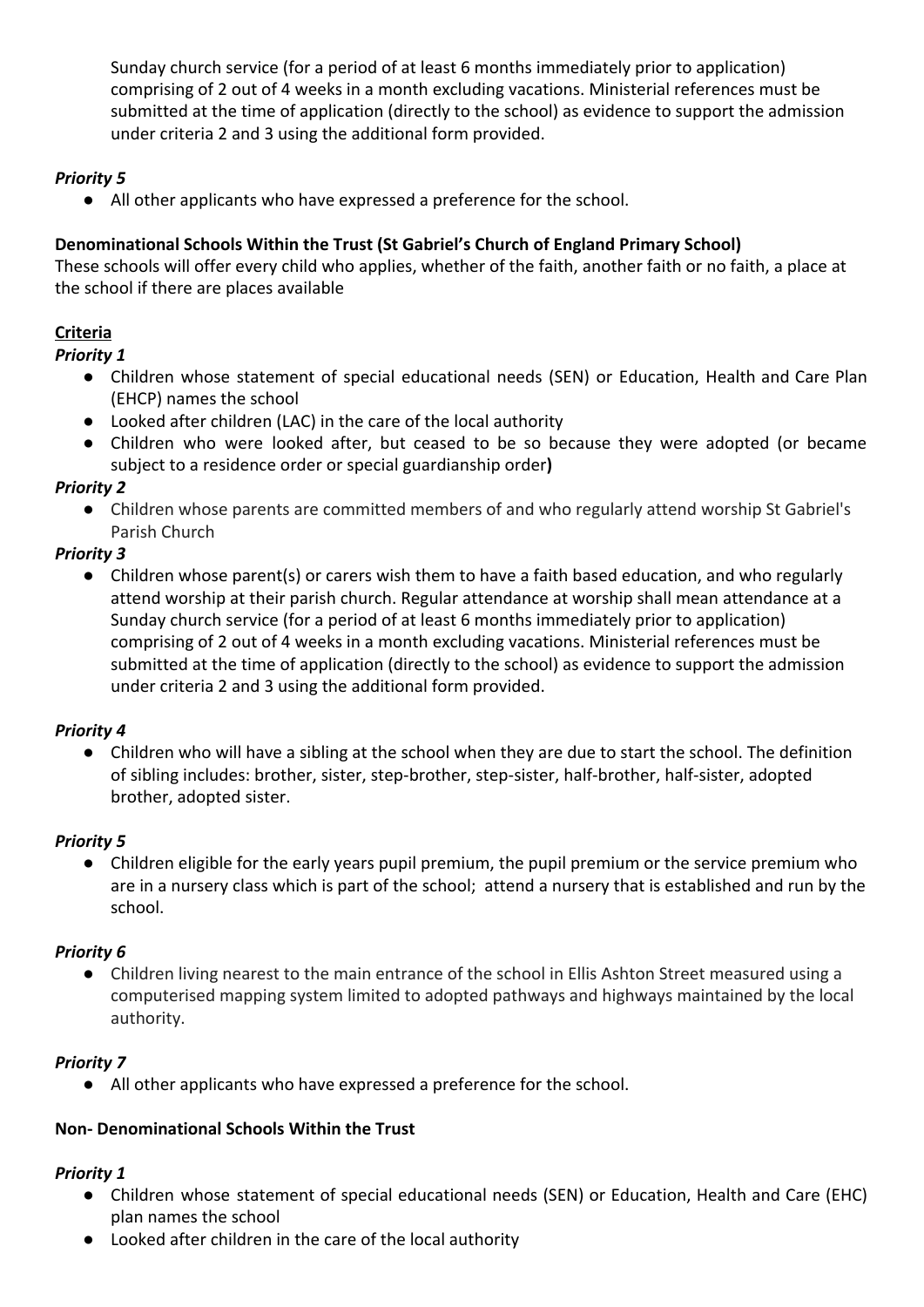Sunday church service (for a period of at least 6 months immediately prior to application) comprising of 2 out of 4 weeks in a month excluding vacations. Ministerial references must be submitted at the time of application (directly to the school) as evidence to support the admission under criteria 2 and 3 using the additional form provided.

## *Priority 5*

● All other applicants who have expressed a preference for the school.

## **Denominational Schools Within the Trust (St Gabriel's Church of England Primary School)**

These schools will offer every child who applies, whether of the faith, another faith or no faith, a place at the school if there are places available

# **Criteria**

### *Priority 1*

- Children whose statement of special educational needs (SEN) or Education, Health and Care Plan (EHCP) names the school
- Looked after children (LAC) in the care of the local authority
- Children who were looked after, but ceased to be so because they were adopted (or became subject to a residence order or special guardianship order**)**

## *Priority 2*

● Children whose parents are committed members of and who regularly attend worship St Gabriel's Parish Church

## *Priority 3*

● Children whose parent(s) or carers wish them to have a faith based education, and who regularly attend worship at their parish church. Regular attendance at worship shall mean attendance at a Sunday church service (for a period of at least 6 months immediately prior to application) comprising of 2 out of 4 weeks in a month excluding vacations. Ministerial references must be submitted at the time of application (directly to the school) as evidence to support the admission under criteria 2 and 3 using the additional form provided.

## *Priority 4*

● Children who will have a sibling at the school when they are due to start the school. The definition of sibling includes: brother, sister, step-brother, step-sister, half-brother, half-sister, adopted brother, adopted sister.

## *Priority 5*

● Children eligible for the early years pupil premium, the pupil premium or the service premium who are in a nursery class which is part of the school; attend a nursery that is established and run by the school.

## *Priority 6*

● Children living nearest to the main entrance of the school in Ellis Ashton Street measured using a computerised mapping system limited to adopted pathways and highways maintained by the local authority.

## *Priority 7*

● All other applicants who have expressed a preference for the school.

## **Non- Denominational Schools Within the Trust**

## *Priority 1*

- Children whose statement of special educational needs (SEN) or Education, Health and Care (EHC) plan names the school
- Looked after children in the care of the local authority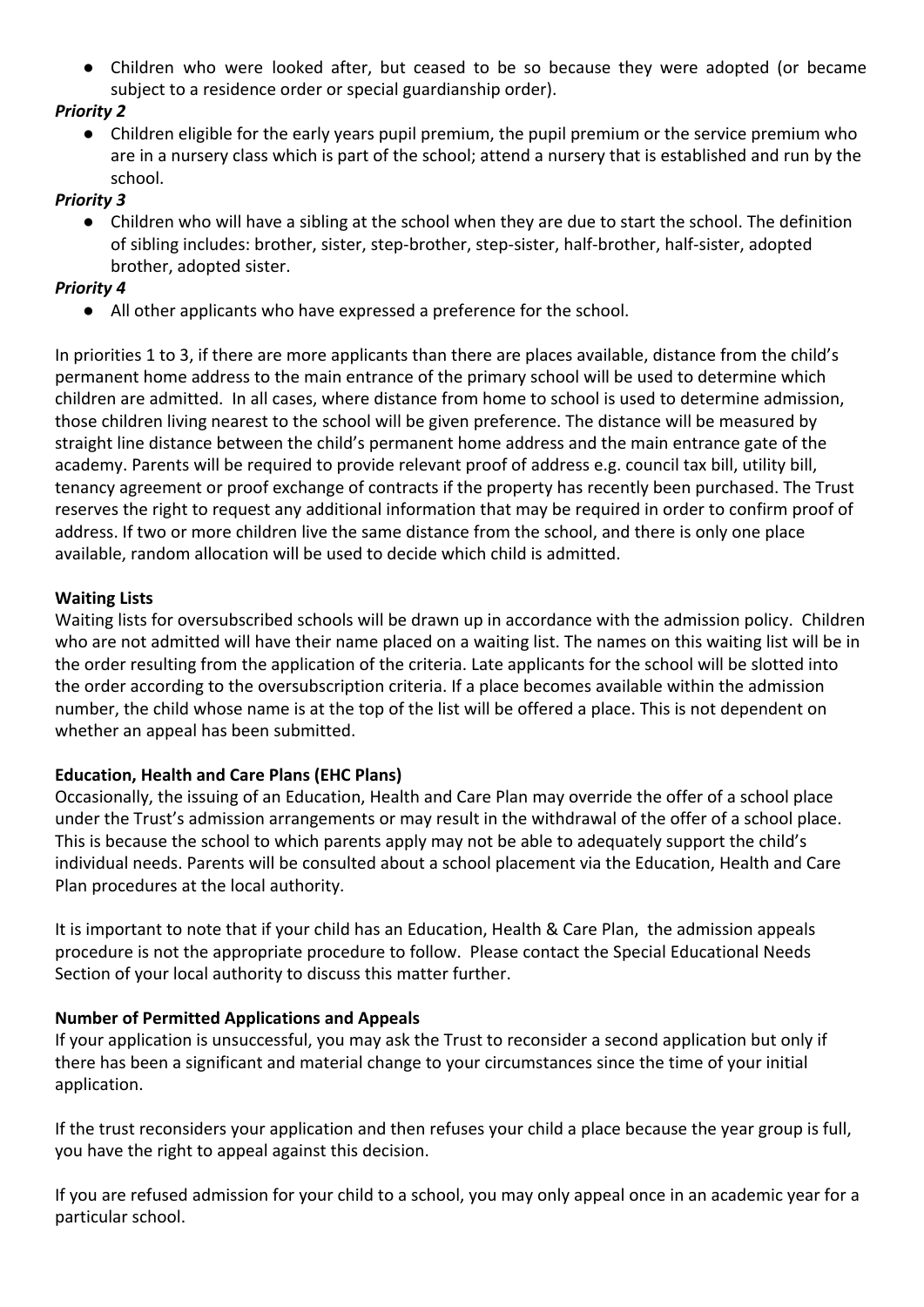● Children who were looked after, but ceased to be so because they were adopted (or became subject to a residence order or special guardianship order).

## *Priority 2*

● Children eligible for the early years pupil premium, the pupil premium or the service premium who are in a nursery class which is part of the school; attend a nursery that is established and run by the school.

### *Priority 3*

Children who will have a sibling at the school when they are due to start the school. The definition of sibling includes: brother, sister, step-brother, step-sister, half-brother, half-sister, adopted brother, adopted sister.

### *Priority 4*

● All other applicants who have expressed a preference for the school.

In priorities 1 to 3, if there are more applicants than there are places available, distance from the child's permanent home address to the main entrance of the primary school will be used to determine which children are admitted. In all cases, where distance from home to school is used to determine admission, those children living nearest to the school will be given preference. The distance will be measured by straight line distance between the child's permanent home address and the main entrance gate of the academy. Parents will be required to provide relevant proof of address e.g. council tax bill, utility bill, tenancy agreement or proof exchange of contracts if the property has recently been purchased. The Trust reserves the right to request any additional information that may be required in order to confirm proof of address. If two or more children live the same distance from the school, and there is only one place available, random allocation will be used to decide which child is admitted.

### **Waiting Lists**

Waiting lists for oversubscribed schools will be drawn up in accordance with the admission policy. Children who are not admitted will have their name placed on a waiting list. The names on this waiting list will be in the order resulting from the application of the criteria. Late applicants for the school will be slotted into the order according to the oversubscription criteria. If a place becomes available within the admission number, the child whose name is at the top of the list will be offered a place. This is not dependent on whether an appeal has been submitted.

### **Education, Health and Care Plans (EHC Plans)**

Occasionally, the issuing of an Education, Health and Care Plan may override the offer of a school place under the Trust's admission arrangements or may result in the withdrawal of the offer of a school place. This is because the school to which parents apply may not be able to adequately support the child's individual needs. Parents will be consulted about a school placement via the Education, Health and Care Plan procedures at the local authority.

It is important to note that if your child has an Education, Health & Care Plan, the admission appeals procedure is not the appropriate procedure to follow. Please contact the Special Educational Needs Section of your local authority to discuss this matter further.

### **Number of Permitted Applications and Appeals**

If your application is unsuccessful, you may ask the Trust to reconsider a second application but only if there has been a significant and material change to your circumstances since the time of your initial application.

If the trust reconsiders your application and then refuses your child a place because the year group is full, you have the right to appeal against this decision.

If you are refused admission for your child to a school, you may only appeal once in an academic year for a particular school.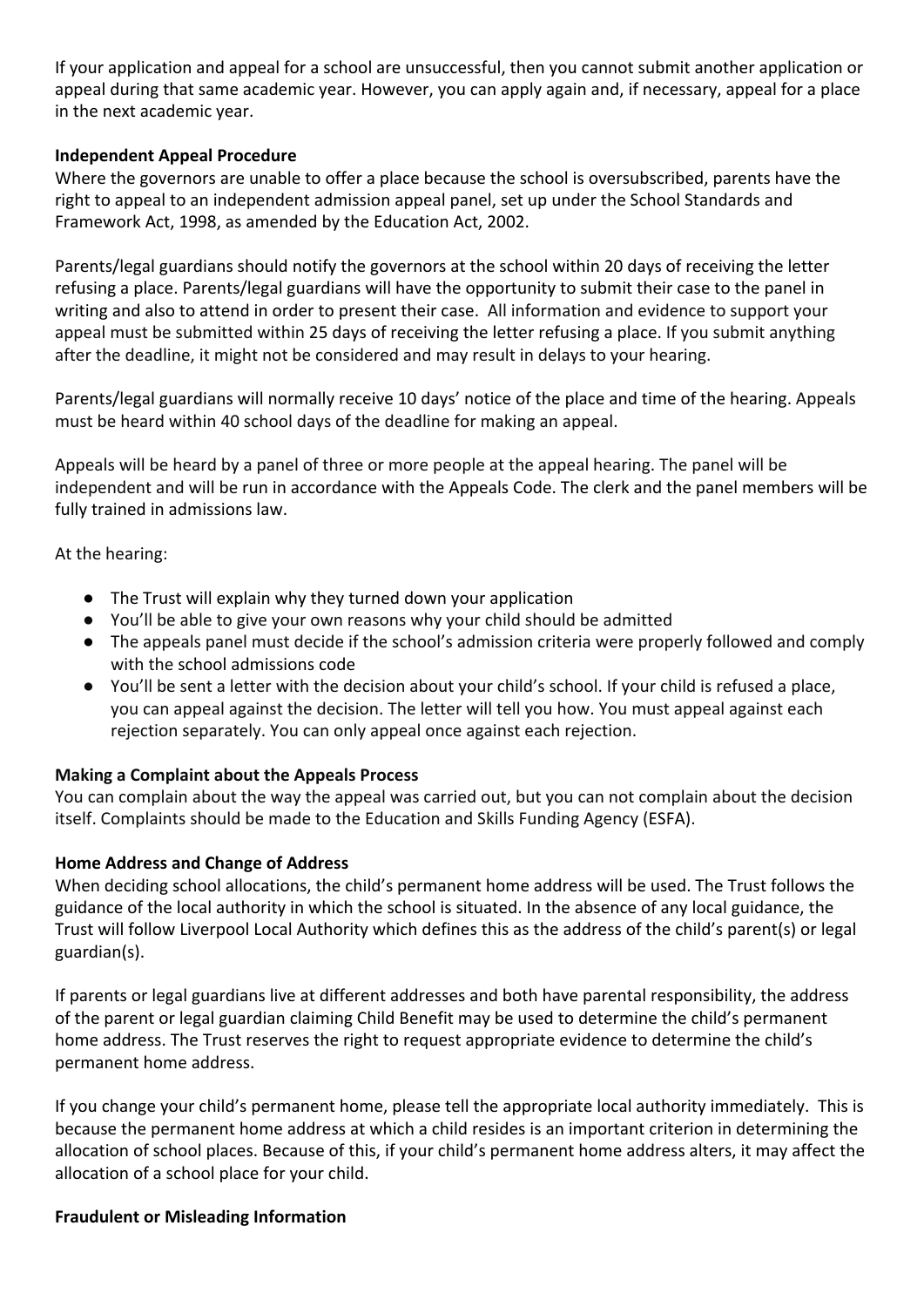If your application and appeal for a school are unsuccessful, then you cannot submit another application or appeal during that same academic year. However, you can apply again and, if necessary, appeal for a place in the next academic year.

### **Independent Appeal Procedure**

Where the governors are unable to offer a place because the school is oversubscribed, parents have the right to appeal to an independent admission appeal panel, set up under the School Standards and Framework Act, 1998, as amended by the Education Act, 2002.

Parents/legal guardians should notify the governors at the school within 20 days of receiving the letter refusing a place. Parents/legal guardians will have the opportunity to submit their case to the panel in writing and also to attend in order to present their case. All information and evidence to support your appeal must be submitted within 25 days of receiving the letter refusing a place. If you submit anything after the deadline, it might not be considered and may result in delays to your hearing.

Parents/legal guardians will normally receive 10 days' notice of the place and time of the hearing. Appeals must be heard within 40 school days of the deadline for making an appeal.

Appeals will be heard by a panel of three or more people at the appeal hearing. The panel will be independent and will be run in accordance with the Appeals Code. The clerk and the panel members will be fully trained in admissions law.

At the hearing:

- The Trust will explain why they turned down your application
- You'll be able to give your own reasons why your child should be admitted
- The appeals panel must decide if the school's admission criteria were properly followed and comply with the [school admissions code](https://www.gov.uk/government/publications/school-admissions-code--2)
- You'll be sent a letter with the decision about your child's school. If your child is refused a place, you can appeal against the decision. The letter will tell you how. You must appeal against each rejection separately. You can only appeal once against each rejection.

### **Making a Complaint about the Appeals Process**

You can complain about the way the appeal was carried out, but you can not complain about the decision itself. Complaints should be made to the Education and Skills Funding Agency (ESFA).

### **Home Address and Change of Address**

When deciding school allocations, the child's permanent home address will be used. The Trust follows the guidance of the local authority in which the school is situated. In the absence of any local guidance, the Trust will follow Liverpool Local Authority which defines this as the address of the child's parent(s) or legal guardian(s).

If parents or legal guardians live at different addresses and both have parental responsibility, the address of the parent or legal guardian claiming Child Benefit may be used to determine the child's permanent home address. The Trust reserves the right to request appropriate evidence to determine the child's permanent home address.

If you change your child's permanent home, please tell the appropriate local authority immediately. This is because the permanent home address at which a child resides is an important criterion in determining the allocation of school places. Because of this, if your child's permanent home address alters, it may affect the allocation of a school place for your child.

#### **Fraudulent or Misleading Information**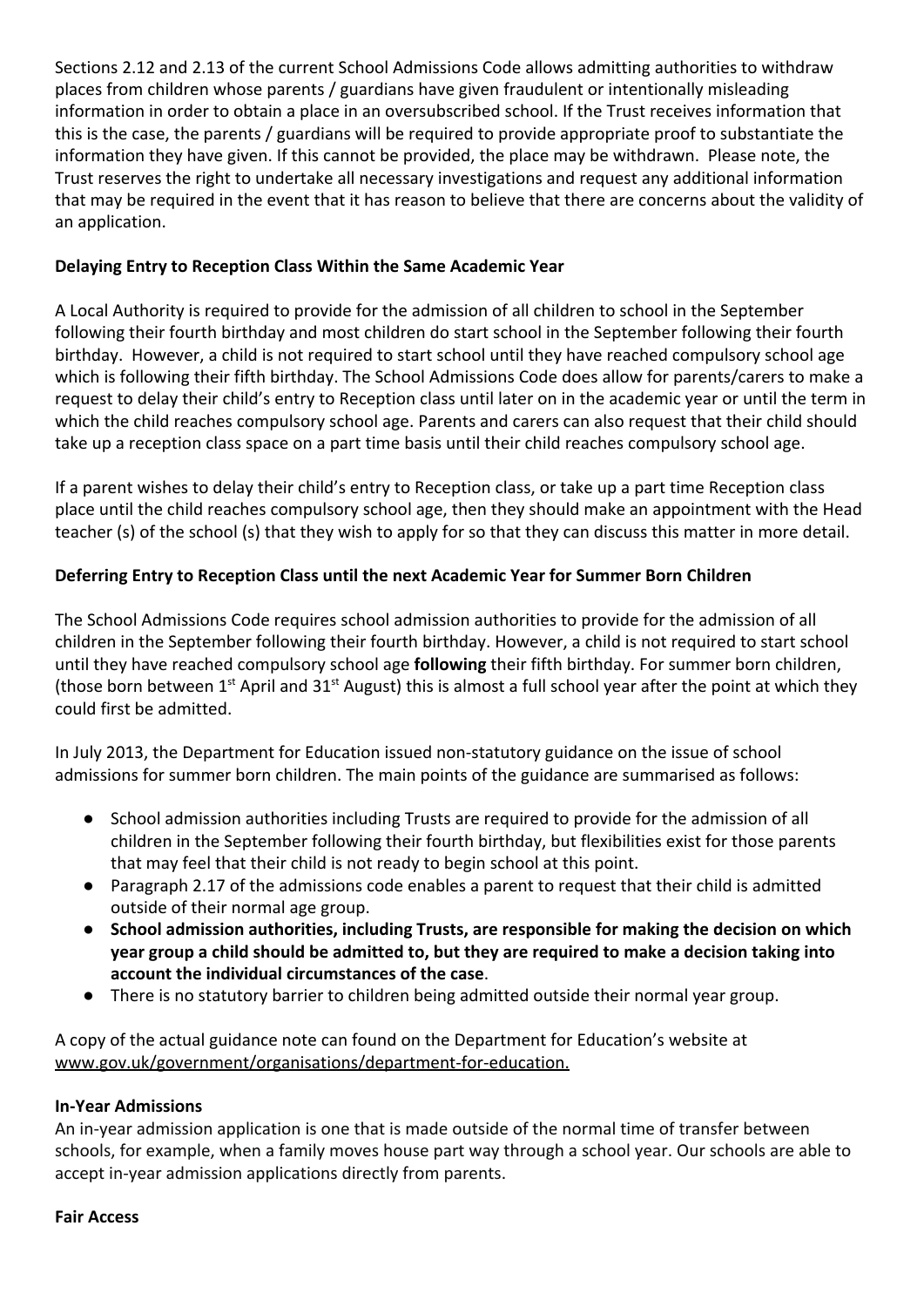Sections 2.12 and 2.13 of the current School Admissions Code allows admitting authorities to withdraw places from children whose parents / guardians have given fraudulent or intentionally misleading information in order to obtain a place in an oversubscribed school. If the Trust receives information that this is the case, the parents / guardians will be required to provide appropriate proof to substantiate the information they have given. If this cannot be provided, the place may be withdrawn. Please note, the Trust reserves the right to undertake all necessary investigations and request any additional information that may be required in the event that it has reason to believe that there are concerns about the validity of an application.

### **Delaying Entry to Reception Class Within the Same Academic Year**

A Local Authority is required to provide for the admission of all children to school in the September following their fourth birthday and most children do start school in the September following their fourth birthday. However, a child is not required to start school until they have reached compulsory school age which is following their fifth birthday. The School Admissions Code does allow for parents/carers to make a request to delay their child's entry to Reception class until later on in the academic year or until the term in which the child reaches compulsory school age. Parents and carers can also request that their child should take up a reception class space on a part time basis until their child reaches compulsory school age.

If a parent wishes to delay their child's entry to Reception class, or take up a part time Reception class place until the child reaches compulsory school age, then they should make an appointment with the Head teacher (s) of the school (s) that they wish to apply for so that they can discuss this matter in more detail.

### **Deferring Entry to Reception Class until the next Academic Year for Summer Born Children**

The School Admissions Code requires school admission authorities to provide for the admission of all children in the September following their fourth birthday. However, a child is not required to start school until they have reached compulsory school age **following** their fifth birthday. For summer born children, (those born between 1<sup>st</sup> April and 31<sup>st</sup> August) this is almost a full school year after the point at which they could first be admitted.

In July 2013, the Department for Education issued non-statutory guidance on the issue of school admissions for summer born children. The main points of the guidance are summarised as follows:

- School admission authorities including Trusts are required to provide for the admission of all children in the September following their fourth birthday, but flexibilities exist for those parents that may feel that their child is not ready to begin school at this point.
- Paragraph 2.17 of the admissions code enables a parent to request that their child is admitted outside of their normal age group.
- **School admission authorities, including Trusts, are responsible for making the decision on which year group a child should be admitted to, but they are required to make a decision taking into account the individual circumstances of the case**.
- There is no statutory barrier to children being admitted outside their normal year group.

A copy of the actual guidance note can found on the Department for Education's website at [www.gov.uk/government/organisations/department-for-education.](http://www.gov.uk/government/organisations/department-for-education)

### **In-Year Admissions**

An in-year admission application is one that is made outside of the normal time of transfer between schools, for example, when a family moves house part way through a school year. Our schools are able to accept in-year admission applications directly from parents.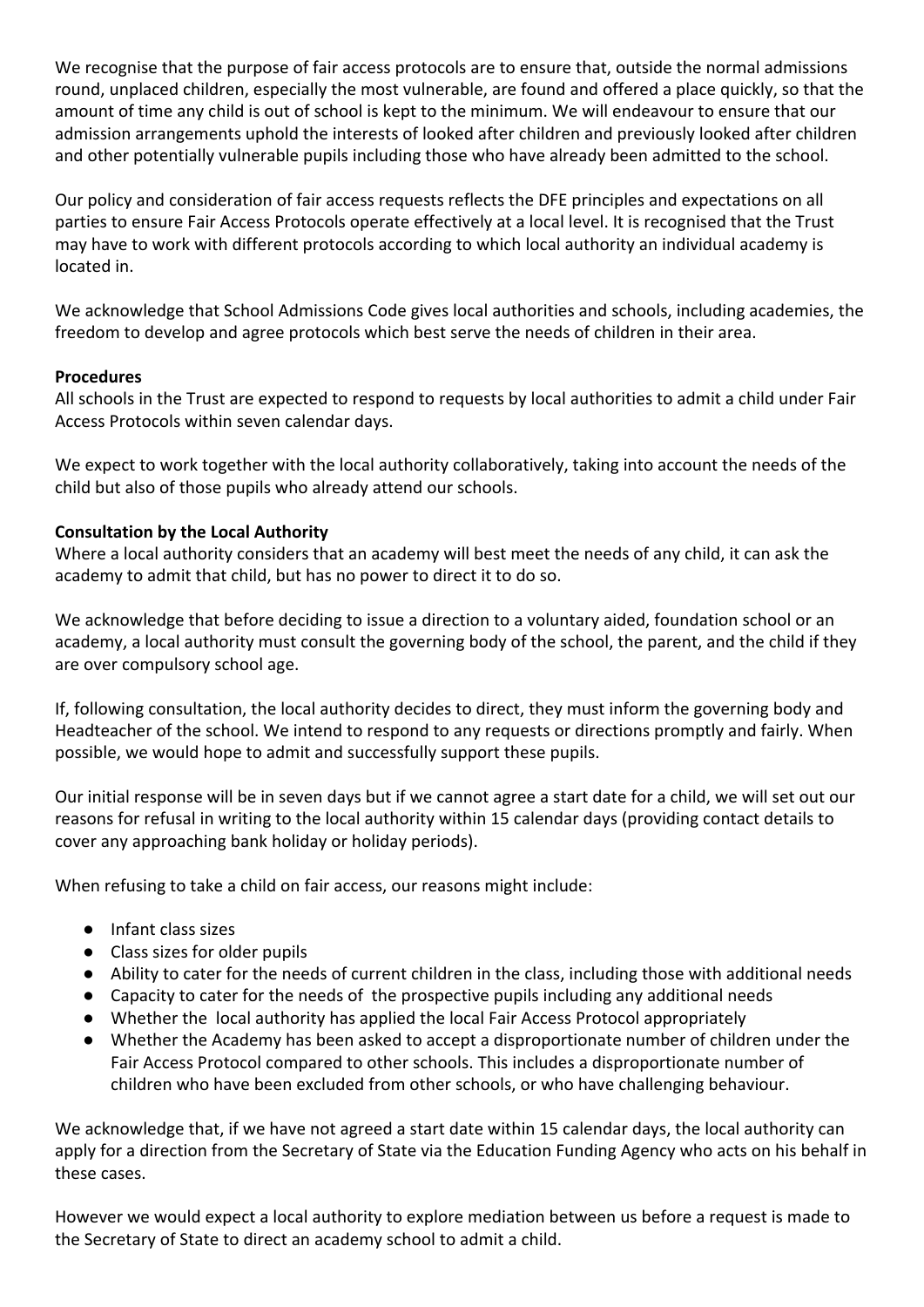We recognise that the purpose of fair access protocols are to ensure that, outside the normal admissions round, unplaced children, especially the most vulnerable, are found and offered a place quickly, so that the amount of time any child is out of school is kept to the minimum. We will endeavour to ensure that our admission arrangements uphold the interests of looked after children and previously looked after children and other potentially vulnerable pupils including those who have already been admitted to the school.

Our policy and consideration of fair access requests reflects the DFE principles and expectations on all parties to ensure Fair Access Protocols operate effectively at a local level. It is recognised that the Trust may have to work with different protocols according to which local authority an individual academy is located in.

We acknowledge that School Admissions Code gives local authorities and schools, including academies, the freedom to develop and agree protocols which best serve the needs of children in their area.

#### **Procedures**

All schools in the Trust are expected to respond to requests by local authorities to admit a child under Fair Access Protocols within seven calendar days.

We expect to work together with the local authority collaboratively, taking into account the needs of the child but also of those pupils who already attend our schools.

#### **Consultation by the Local Authority**

Where a local authority considers that an academy will best meet the needs of any child, it can ask the academy to admit that child, but has no power to direct it to do so.

We acknowledge that before deciding to issue a direction to a voluntary aided, foundation school or an academy, a local authority must consult the governing body of the school, the parent, and the child if they are over compulsory school age.

If, following consultation, the local authority decides to direct, they must inform the governing body and Headteacher of the school. We intend to respond to any requests or directions promptly and fairly. When possible, we would hope to admit and successfully support these pupils.

Our initial response will be in seven days but if we cannot agree a start date for a child, we will set out our reasons for refusal in writing to the local authority within 15 calendar days (providing contact details to cover any approaching bank holiday or holiday periods).

When refusing to take a child on fair access, our reasons might include:

- Infant class sizes
- Class sizes for older pupils
- Ability to cater for the needs of current children in the class, including those with additional needs
- Capacity to cater for the needs of the prospective pupils including any additional needs
- Whether the local authority has applied the local Fair Access Protocol appropriately
- Whether the Academy has been asked to accept a disproportionate number of children under the Fair Access Protocol compared to other schools. This includes a disproportionate number of children who have been excluded from other schools, or who have challenging behaviour.

We acknowledge that, if we have not agreed a start date within 15 calendar days, the local authority can apply for a direction from the Secretary of State via the Education Funding Agency who acts on his behalf in these cases.

However we would expect a local authority to explore mediation between us before a request is made to the Secretary of State to direct an academy school to admit a child.